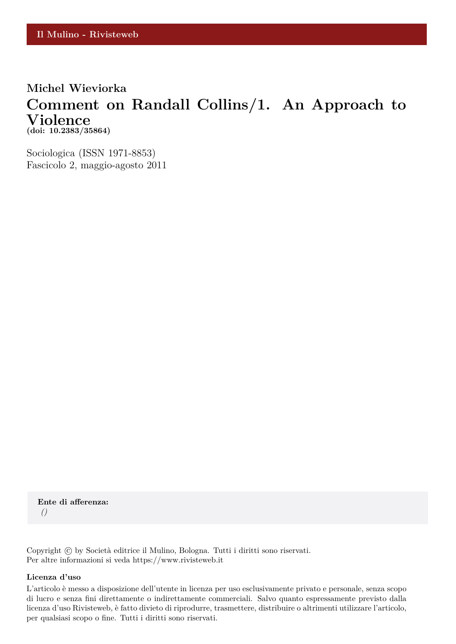#### **Michel Wieviorka**

### **Comment on Randall Collins/1. An Approach to Violence (doi: 10.2383/35864)**

Sociologica (ISSN 1971-8853) Fascicolo 2, maggio-agosto 2011

**Ente di afferenza:** *()*

Copyright © by Società editrice il Mulino, Bologna. Tutti i diritti sono riservati. Per altre informazioni si veda https://www.rivisteweb.it

#### **Licenza d'uso**

L'articolo è messo a disposizione dell'utente in licenza per uso esclusivamente privato e personale, senza scopo di lucro e senza fini direttamente o indirettamente commerciali. Salvo quanto espressamente previsto dalla licenza d'uso Rivisteweb, è fatto divieto di riprodurre, trasmettere, distribuire o altrimenti utilizzare l'articolo, per qualsiasi scopo o fine. Tutti i diritti sono riservati.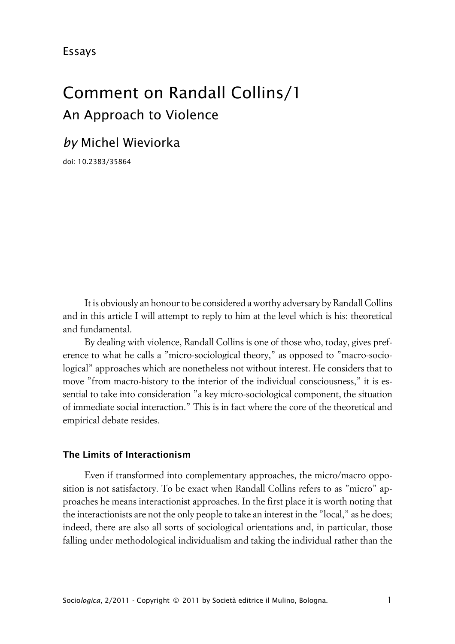Essays

# Comment on Randall Collins/1 An Approach to Violence

# *by* Michel Wieviorka

doi: 10.2383/35864

It is obviously an honour to be considered a worthy adversary by Randall Collins and in this article I will attempt to reply to him at the level which is his: theoretical and fundamental.

By dealing with violence, Randall Collins is one of those who, today, gives preference to what he calls a "micro-sociological theory," as opposed to "macro-sociological" approaches which are nonetheless not without interest. He considers that to move "from macro-history to the interior of the individual consciousness," it is essential to take into consideration "a key micro-sociological component, the situation of immediate social interaction." This is in fact where the core of the theoretical and empirical debate resides.

#### **xThe Limits of Interactionism**

Even if transformed into complementary approaches, the micro/macro opposition is not satisfactory. To be exact when Randall Collins refers to as "micro" approaches he means interactionist approaches. In the first place it is worth noting that the interactionists are not the only people to take an interest in the "local," as he does; indeed, there are also all sorts of sociological orientations and, in particular, those falling under methodological individualism and taking the individual rather than the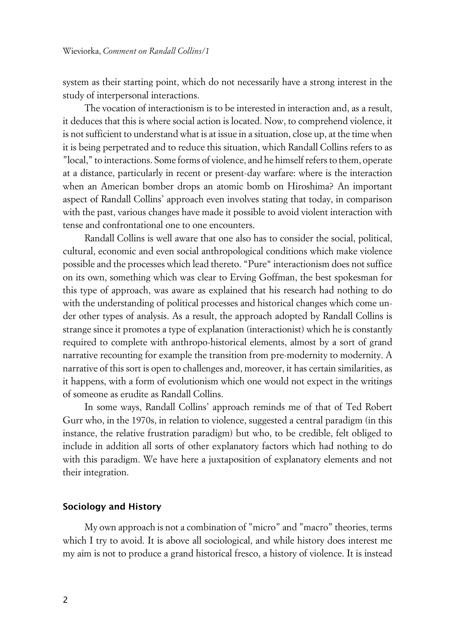system as their starting point, which do not necessarily have a strong interest in the study of interpersonal interactions.

The vocation of interactionism is to be interested in interaction and, as a result, it deduces that this is where social action is located. Now, to comprehend violence, it is not sufficient to understand what is at issue in a situation, close up, at the time when it is being perpetrated and to reduce this situation, which Randall Collins refers to as "local," to interactions. Some forms of violence, and he himself refers to them, operate at a distance, particularly in recent or present-day warfare: where is the interaction when an American bomber drops an atomic bomb on Hiroshima? An important aspect of Randall Collins' approach even involves stating that today, in comparison with the past, various changes have made it possible to avoid violent interaction with tense and confrontational one to one encounters.

Randall Collins is well aware that one also has to consider the social, political, cultural, economic and even social anthropological conditions which make violence possible and the processes which lead thereto. "Pure" interactionism does not suffice on its own, something which was clear to Erving Goffman, the best spokesman for this type of approach, was aware as explained that his research had nothing to do with the understanding of political processes and historical changes which come under other types of analysis. As a result, the approach adopted by Randall Collins is strange since it promotes a type of explanation (interactionist) which he is constantly required to complete with anthropo-historical elements, almost by a sort of grand narrative recounting for example the transition from pre-modernity to modernity. A narrative of this sort is open to challenges and, moreover, it has certain similarities, as it happens, with a form of evolutionism which one would not expect in the writings of someone as erudite as Randall Collins.

In some ways, Randall Collins' approach reminds me of that of Ted Robert Gurr who, in the 1970s, in relation to violence, suggested a central paradigm (in this instance, the relative frustration paradigm) but who, to be credible, felt obliged to include in addition all sorts of other explanatory factors which had nothing to do with this paradigm. We have here a juxtaposition of explanatory elements and not their integration.

#### **xSociology and History**

My own approach is not a combination of "micro" and "macro" theories, terms which I try to avoid. It is above all sociological, and while history does interest me my aim is not to produce a grand historical fresco, a history of violence. It is instead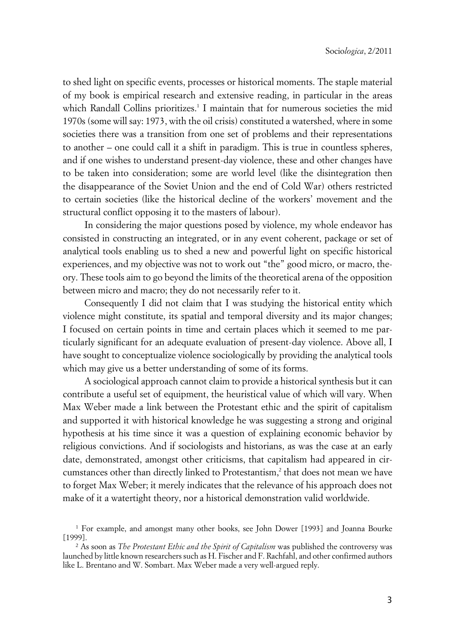to shed light on specific events, processes or historical moments. The staple material of my book is empirical research and extensive reading, in particular in the areas which Randall Collins prioritizes.<sup>1</sup> I maintain that for numerous societies the mid 1970s (some will say: 1973, with the oil crisis) constituted a watershed, where in some societies there was a transition from one set of problems and their representations to another – one could call it a shift in paradigm. This is true in countless spheres, and if one wishes to understand present-day violence, these and other changes have to be taken into consideration; some are world level (like the disintegration then the disappearance of the Soviet Union and the end of Cold War) others restricted to certain societies (like the historical decline of the workers' movement and the structural conflict opposing it to the masters of labour).

In considering the major questions posed by violence, my whole endeavor has consisted in constructing an integrated, or in any event coherent, package or set of analytical tools enabling us to shed a new and powerful light on specific historical experiences, and my objective was not to work out "the" good micro, or macro, theory. These tools aim to go beyond the limits of the theoretical arena of the opposition between micro and macro; they do not necessarily refer to it.

Consequently I did not claim that I was studying the historical entity which violence might constitute, its spatial and temporal diversity and its major changes; I focused on certain points in time and certain places which it seemed to me particularly significant for an adequate evaluation of present-day violence. Above all, I have sought to conceptualize violence sociologically by providing the analytical tools which may give us a better understanding of some of its forms.

A sociological approach cannot claim to provide a historical synthesis but it can contribute a useful set of equipment, the heuristical value of which will vary. When Max Weber made a link between the Protestant ethic and the spirit of capitalism and supported it with historical knowledge he was suggesting a strong and original hypothesis at his time since it was a question of explaining economic behavior by religious convictions. And if sociologists and historians, as was the case at an early date, demonstrated, amongst other criticisms, that capitalism had appeared in circumstances other than directly linked to Protestantism,<sup>2</sup> that does not mean we have to forget Max Weber; it merely indicates that the relevance of his approach does not make of it a watertight theory, nor a historical demonstration valid worldwide.

<sup>1</sup> For example, and amongst many other books, see John Dower [1993] and Joanna Bourke [1999].

<sup>2</sup> As soon as *The Protestant Ethic and the Spirit of Capitalism* was published the controversy was launched by little known researchers such as H. Fischer and F. Rachfahl, and other confirmed authors like L. Brentano and W. Sombart. Max Weber made a very well-argued reply.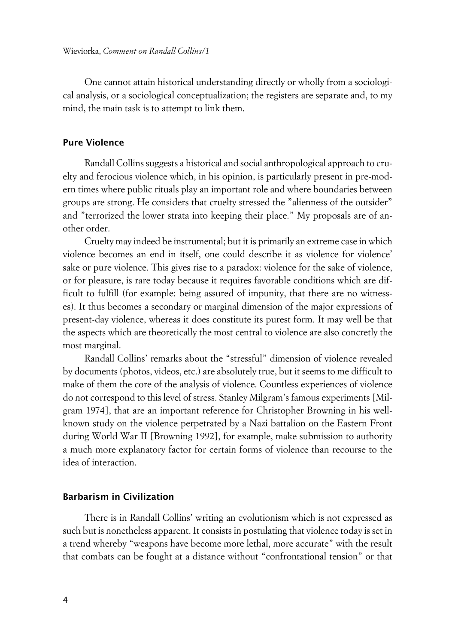One cannot attain historical understanding directly or wholly from a sociological analysis, or a sociological conceptualization; the registers are separate and, to my mind, the main task is to attempt to link them.

#### **Pure Violence**

Randall Collins suggests a historical and social anthropological approach to cruelty and ferocious violence which, in his opinion, is particularly present in pre-modern times where public rituals play an important role and where boundaries between groups are strong. He considers that cruelty stressed the "alienness of the outsider" and "terrorized the lower strata into keeping their place." My proposals are of another order.

Cruelty may indeed be instrumental; but it is primarily an extreme case in which violence becomes an end in itself, one could describe it as violence for violence' sake or pure violence. This gives rise to a paradox: violence for the sake of violence, or for pleasure, is rare today because it requires favorable conditions which are difficult to fulfill (for example: being assured of impunity, that there are no witnesses). It thus becomes a secondary or marginal dimension of the major expressions of present-day violence, whereas it does constitute its purest form. It may well be that the aspects which are theoretically the most central to violence are also concretly the most marginal.

Randall Collins' remarks about the "stressful" dimension of violence revealed by documents (photos, videos, etc.) are absolutely true, but it seems to me difficult to make of them the core of the analysis of violence. Countless experiences of violence do not correspond to this level of stress. Stanley Milgram's famous experiments [Milgram 1974], that are an important reference for Christopher Browning in his wellknown study on the violence perpetrated by a Nazi battalion on the Eastern Front during World War II [Browning 1992], for example, make submission to authority a much more explanatory factor for certain forms of violence than recourse to the idea of interaction.

#### **xBarbarism in Civilization**

There is in Randall Collins' writing an evolutionism which is not expressed as such but is nonetheless apparent. It consists in postulating that violence today is set in a trend whereby "weapons have become more lethal, more accurate" with the result that combats can be fought at a distance without "confrontational tension" or that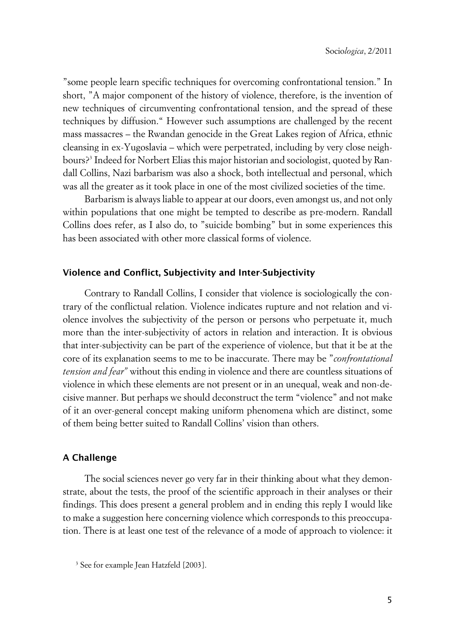"some people learn specific techniques for overcoming confrontational tension." In short, "A major component of the history of violence, therefore, is the invention of new techniques of circumventing confrontational tension, and the spread of these techniques by diffusion." However such assumptions are challenged by the recent mass massacres – the Rwandan genocide in the Great Lakes region of Africa, ethnic cleansing in ex-Yugoslavia – which were perpetrated, including by very close neighbours?<sup>3</sup> Indeed for Norbert Elias this major historian and sociologist, quoted by Randall Collins, Nazi barbarism was also a shock, both intellectual and personal, which was all the greater as it took place in one of the most civilized societies of the time.

Barbarism is always liable to appear at our doors, even amongst us, and not only within populations that one might be tempted to describe as pre-modern. Randall Collins does refer, as I also do, to "suicide bombing" but in some experiences this has been associated with other more classical forms of violence.

#### **xViolence and Conflict, Subjectivity and Inter-Subjectivity**

Contrary to Randall Collins, I consider that violence is sociologically the contrary of the conflictual relation. Violence indicates rupture and not relation and violence involves the subjectivity of the person or persons who perpetuate it, much more than the inter-subjectivity of actors in relation and interaction. It is obvious that inter-subjectivity can be part of the experience of violence, but that it be at the core of its explanation seems to me to be inaccurate. There may be "*confrontational tension and fear"* without this ending in violence and there are countless situations of violence in which these elements are not present or in an unequal, weak and non-decisive manner. But perhaps we should deconstruct the term "violence" and not make of it an over-general concept making uniform phenomena which are distinct, some of them being better suited to Randall Collins' vision than others.

#### **xA Challenge**

The social sciences never go very far in their thinking about what they demonstrate, about the tests, the proof of the scientific approach in their analyses or their findings. This does present a general problem and in ending this reply I would like to make a suggestion here concerning violence which corresponds to this preoccupation. There is at least one test of the relevance of a mode of approach to violence: it

<sup>3</sup> See for example Jean Hatzfeld [2003].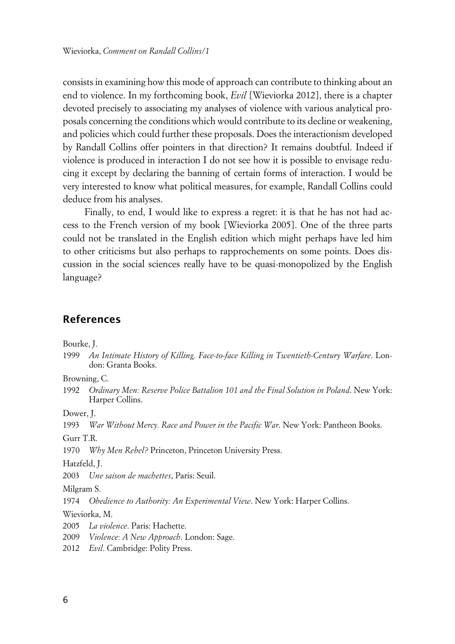consists in examining how this mode of approach can contribute to thinking about an end to violence. In my forthcoming book, *Evil* [Wieviorka 2012], there is a chapter devoted precisely to associating my analyses of violence with various analytical proposals concerning the conditions which would contribute to its decline or weakening, and policies which could further these proposals. Does the interactionism developed by Randall Collins offer pointers in that direction? It remains doubtful. Indeed if violence is produced in interaction I do not see how it is possible to envisage reducing it except by declaring the banning of certain forms of interaction. I would be very interested to know what political measures, for example, Randall Collins could deduce from his analyses.

Finally, to end, I would like to express a regret: it is that he has not had access to the French version of my book [Wieviorka 2005]. One of the three parts could not be translated in the English edition which might perhaps have led him to other criticisms but also perhaps to rapprochements on some points. Does discussion in the social sciences really have to be quasi-monopolized by the English language?

#### **References**

Bourke, J.

1999 *An Intimate History of Killing. Face-to-face Killing in Twentieth-Century Warfare*. London: Granta Books.

Browning, C.

1992 *Ordinary Men: Reserve Police Battalion 101 and the Final Solution in Poland*. New York: Harper Collins.

Dower, J.

1993 *War Without Mercy. Race and Power in the Pacific War*. New York: Pantheon Books.

Gurr T.R.

1970 *Why Men Rebel?* Princeton, Princeton University Press.

Hatzfeld, J.

2003 *Une saison de machettes*, Paris: Seuil.

Milgram S.

1974 *Obedience to Authority: An Experimental View*. New York: Harper Collins.

Wieviorka, M.

- 2005 *La violence*. Paris: Hachette.
- 2009 *Violence: A New Approach*. London: Sage.
- 2012 *Evil*. Cambridge: Polity Press.